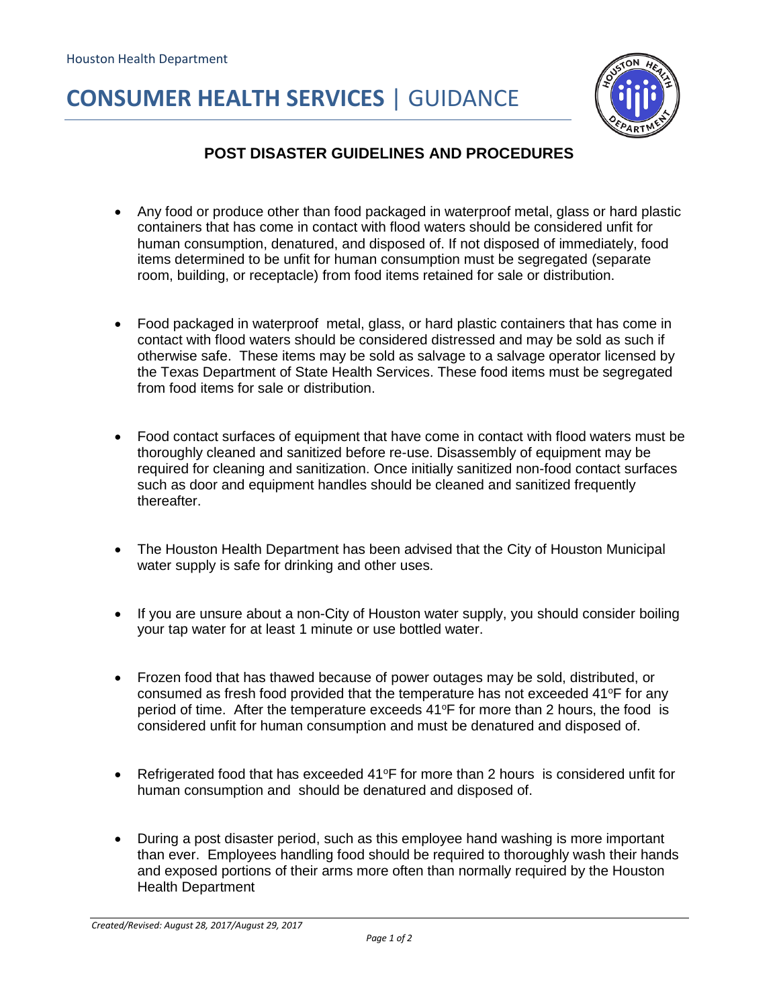## **CONSUMER HEALTH SERVICES** | GUIDANCE



## **POST DISASTER GUIDELINES AND PROCEDURES**

- Any food or produce other than food packaged in waterproof metal, glass or hard plastic containers that has come in contact with flood waters should be considered unfit for human consumption, denatured, and disposed of. If not disposed of immediately, food items determined to be unfit for human consumption must be segregated (separate room, building, or receptacle) from food items retained for sale or distribution.
- Food packaged in waterproof metal, glass, or hard plastic containers that has come in contact with flood waters should be considered distressed and may be sold as such if otherwise safe. These items may be sold as salvage to a salvage operator licensed by the Texas Department of State Health Services. These food items must be segregated from food items for sale or distribution.
- Food contact surfaces of equipment that have come in contact with flood waters must be thoroughly cleaned and sanitized before re-use. Disassembly of equipment may be required for cleaning and sanitization. Once initially sanitized non-food contact surfaces such as door and equipment handles should be cleaned and sanitized frequently thereafter.
- The Houston Health Department has been advised that the City of Houston Municipal water supply is safe for drinking and other uses.
- If you are unsure about a non-City of Houston water supply, you should consider boiling your tap water for at least 1 minute or use bottled water.
- Frozen food that has thawed because of power outages may be sold, distributed, or consumed as fresh food provided that the temperature has not exceeded  $41^{\circ}$ F for any period of time. After the temperature exceeds  $41^{\circ}$ F for more than 2 hours, the food is considered unfit for human consumption and must be denatured and disposed of.
- **•** Refrigerated food that has exceeded  $41^{\circ}$ F for more than 2 hours is considered unfit for human consumption and should be denatured and disposed of.
- During a post disaster period, such as this employee hand washing is more important than ever. Employees handling food should be required to thoroughly wash their hands and exposed portions of their arms more often than normally required by the Houston Health Department